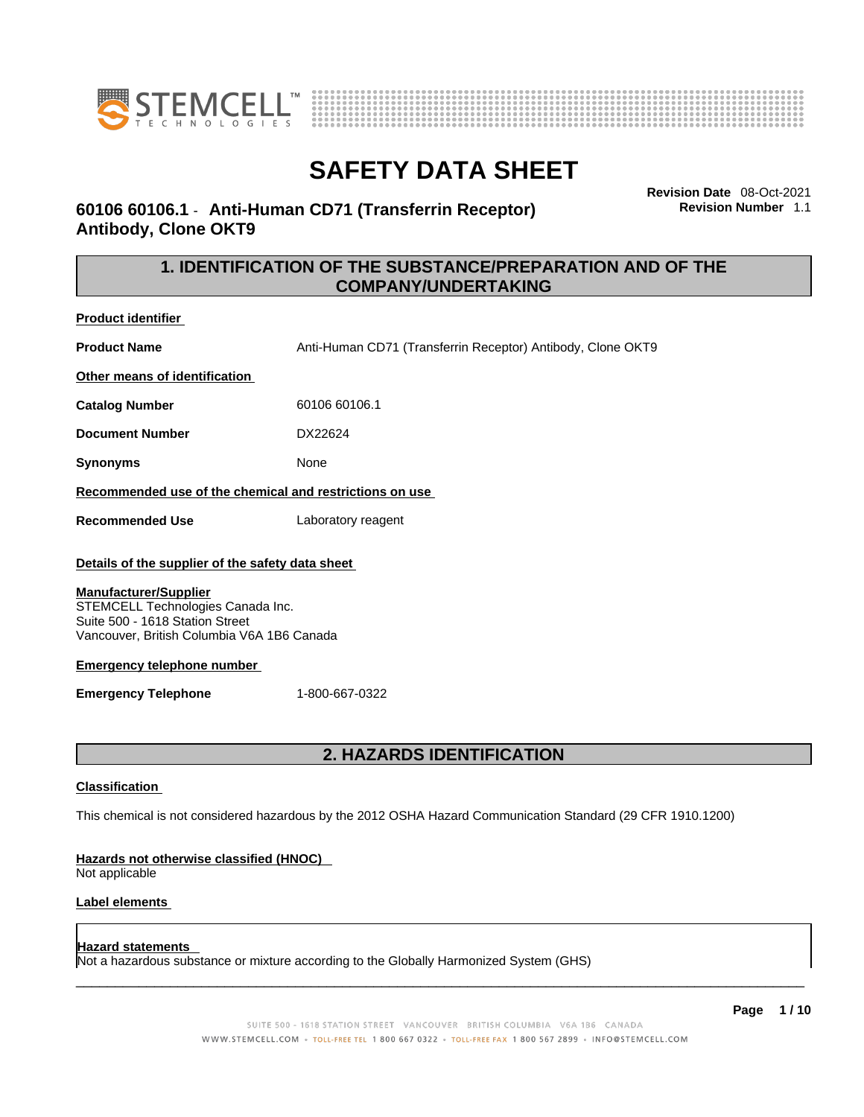



**Revision Date** 08-Oct-2021 **Revision Number** 1.1

# **60106 60106.1** - **Anti-Human CD71 (Transferrin Receptor) Antibody, Clone OKT9**

# **1. IDENTIFICATION OF THE SUBSTANCE/PREPARATION AND OF THE COMPANY/UNDERTAKING**

**Product identifier**

**Product Name Anti-Human CD71 (Transferrin Receptor) Antibody, Clone OKT9** 

**Other means of identification**

**Catalog Number** 60106 60106.1

**Document Number** DX22624

**Synonyms** None

**Recommended use of the chemical and restrictions on use**

**Recommended Use** Laboratory reagent

## **Details of the supplier of the safety data sheet**

#### **Manufacturer/Supplier**

STEMCELL Technologies Canada Inc. Suite 500 - 1618 Station Street Vancouver, British Columbia V6A 1B6 Canada

## **Emergency telephone number**

**Emergency Telephone** 1-800-667-0322

# **2. HAZARDS IDENTIFICATION**

## **Classification**

This chemical is not considered hazardous by the 2012 OSHA Hazard Communication Standard (29 CFR 1910.1200)

## **Hazards not otherwise classified (HNOC)**

Not applicable

## **Label elements**

## **Hazard statements**

Not a hazardous substance or mixture according to the Globally Harmonized System (GHS)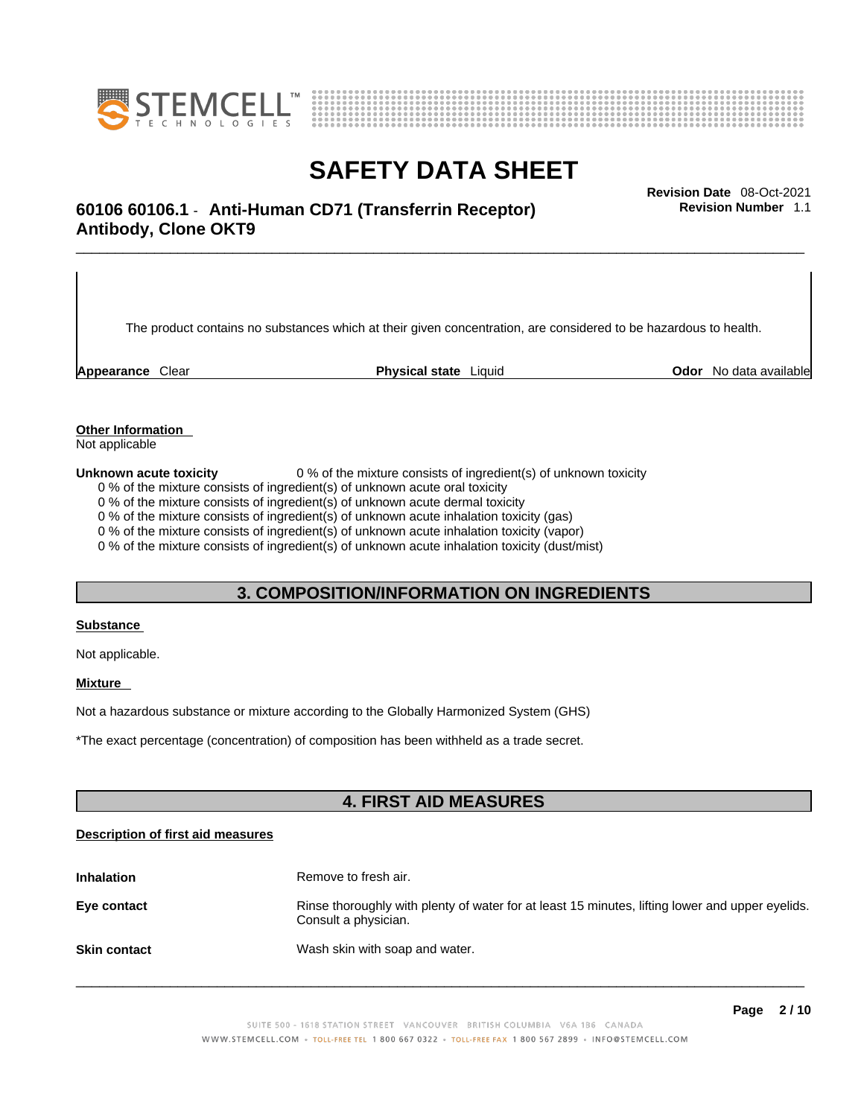



# \_\_\_\_\_\_\_\_\_\_\_\_\_\_\_\_\_\_\_\_\_\_\_\_\_\_\_\_\_\_\_\_\_\_\_\_\_\_\_\_\_\_\_\_\_\_\_\_\_\_\_\_\_\_\_\_\_\_\_\_\_\_\_\_\_\_\_\_\_\_\_\_\_\_\_\_\_\_\_\_\_\_\_\_\_\_\_\_\_\_\_\_\_ **Revision Date** 08-Oct-2021 **60106 60106.1** - **Anti-Human CD71 (Transferrin Receptor) Antibody, Clone OKT9**

The product contains no substances which at their given concentration, are considered to be hazardous to health.

**Appearance** Clear **Physical state** Liquid **Odor** No data available

**Revision Number** 1.1

**Other Information** 

Not applicable

**Unknown acute toxicity** 0 % of the mixture consists of ingredient(s) of unknown toxicity

0 % of the mixture consists of ingredient(s) of unknown acute oral toxicity

0 % of the mixture consists of ingredient(s) of unknown acute dermal toxicity

0 % of the mixture consists of ingredient(s) of unknown acute inhalation toxicity (gas)

0 % of the mixture consists of ingredient(s) of unknown acute inhalation toxicity (vapor)

0 % of the mixture consists of ingredient(s) of unknown acute inhalation toxicity (dust/mist)

# **3. COMPOSITION/INFORMATION ON INGREDIENTS**

#### **Substance**

Not applicable.

## **Mixture**

Not a hazardous substance or mixture according to the Globally Harmonized System (GHS)

\*The exact percentage (concentration) ofcomposition has been withheld as a trade secret.

# **4. FIRST AID MEASURES**

## **Description of first aid measures**

| <b>Inhalation</b>   | Remove to fresh air.                                                                                                    |
|---------------------|-------------------------------------------------------------------------------------------------------------------------|
| Eye contact         | Rinse thoroughly with plenty of water for at least 15 minutes, lifting lower and upper eyelids.<br>Consult a physician. |
| <b>Skin contact</b> | Wash skin with soap and water.                                                                                          |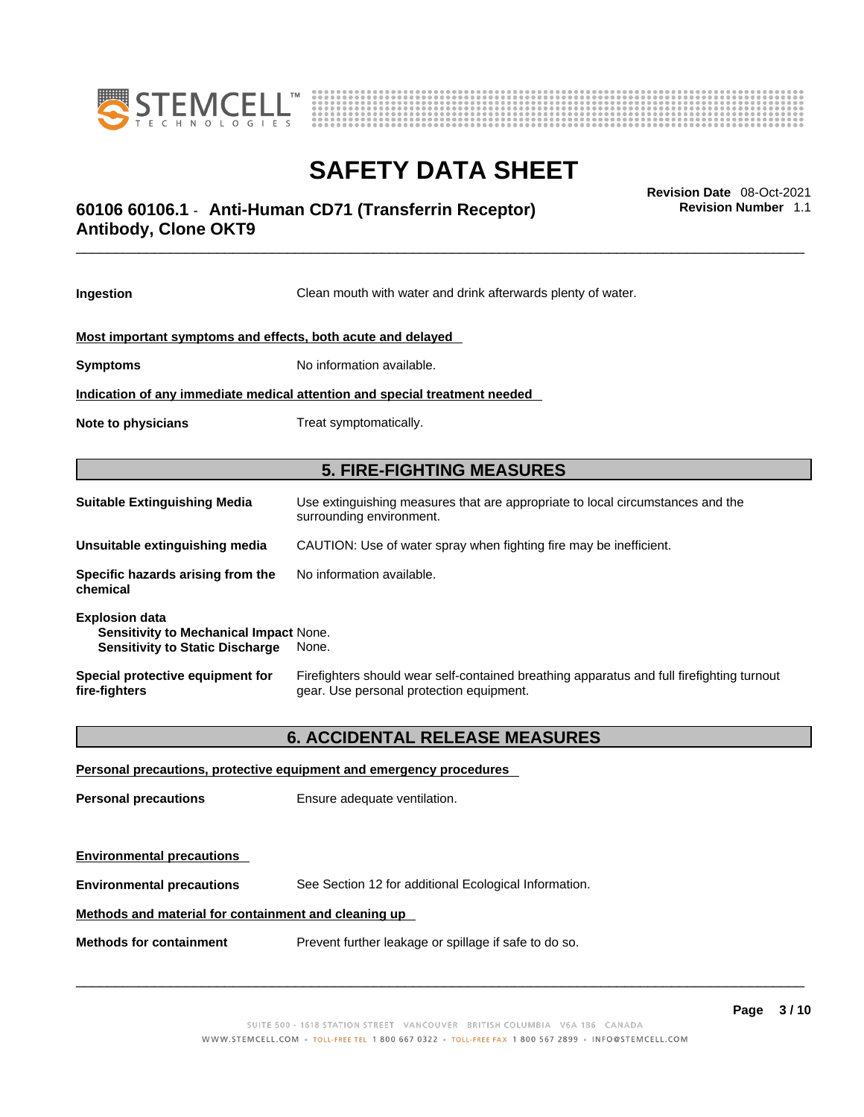



# \_\_\_\_\_\_\_\_\_\_\_\_\_\_\_\_\_\_\_\_\_\_\_\_\_\_\_\_\_\_\_\_\_\_\_\_\_\_\_\_\_\_\_\_\_\_\_\_\_\_\_\_\_\_\_\_\_\_\_\_\_\_\_\_\_\_\_\_\_\_\_\_\_\_\_\_\_\_\_\_\_\_\_\_\_\_\_\_\_\_\_\_\_ **Revision Date** 08-Oct-2021 **60106 60106.1** - **Anti-Human CD71 (Transferrin Receptor) Antibody, Clone OKT9**

**Ingestion** Clean mouth with water and drink afterwards plenty of water. **Most important symptoms and effects, both acute and delayed Symptoms** No information available. **Indication of any immediate medical attention and special treatment needed Note to physicians** Treat symptomatically. **5. FIRE-FIGHTING MEASURES Suitable Extinguishing Media** Use extinguishing measures that are appropriate to local circumstances and the surrounding environment. **Unsuitable extinguishing media** CAUTION: Use of water spray when fighting fire may be inefficient. **Specific hazards arising from the chemical** No information available. **Explosion data Sensitivity to Mechanical Impact** None. **Sensitivity to Static Discharge** None. **Special protective equipment for fire-fighters** Firefighters should wear self-contained breathing apparatus and full firefighting turnout gear. Use personal protection equipment. **6. ACCIDENTAL RELEASE MEASURES** 

**Personal precautions, protective equipment and emergency procedures Personal precautions** Ensure adequate ventilation. **Environmental precautions Environmental precautions** See Section 12 for additional Ecological Information. **Methods and material for containment and cleaning up Methods for containment** Prevent further leakage or spillage if safe to do so.

 $\_$  ,  $\_$  ,  $\_$  ,  $\_$  ,  $\_$  ,  $\_$  ,  $\_$  ,  $\_$  ,  $\_$  ,  $\_$  ,  $\_$  ,  $\_$  ,  $\_$  ,  $\_$  ,  $\_$  ,  $\_$  ,  $\_$  ,  $\_$  ,  $\_$  ,  $\_$  ,  $\_$  ,  $\_$  ,  $\_$  ,  $\_$  ,  $\_$  ,  $\_$  ,  $\_$  ,  $\_$  ,  $\_$  ,  $\_$  ,  $\_$  ,  $\_$  ,  $\_$  ,  $\_$  ,  $\_$  ,  $\_$  ,  $\_$  ,

**Revision Number** 1.1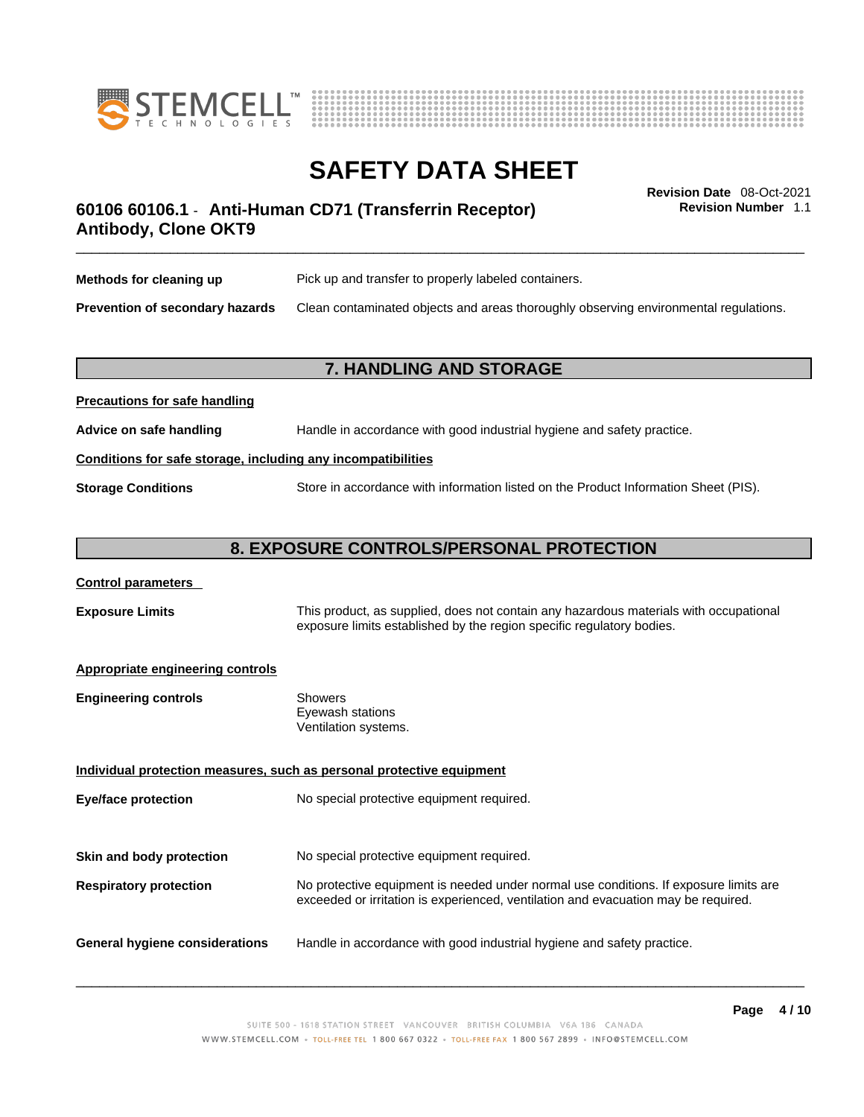



**Revision Number** 1.1

# \_\_\_\_\_\_\_\_\_\_\_\_\_\_\_\_\_\_\_\_\_\_\_\_\_\_\_\_\_\_\_\_\_\_\_\_\_\_\_\_\_\_\_\_\_\_\_\_\_\_\_\_\_\_\_\_\_\_\_\_\_\_\_\_\_\_\_\_\_\_\_\_\_\_\_\_\_\_\_\_\_\_\_\_\_\_\_\_\_\_\_\_\_ **Revision Date** 08-Oct-2021 **60106 60106.1** - **Anti-Human CD71 (Transferrin Receptor) Antibody, Clone OKT9**

| Methods for cleaning up                | Pick up and transfer to properly labeled containers.                                 |
|----------------------------------------|--------------------------------------------------------------------------------------|
| <b>Prevention of secondary hazards</b> | Clean contaminated objects and areas thoroughly observing environmental regulations. |

# **7. HANDLING AND STORAGE**

# **Precautions for safe handling Advice on safe handling** Handle in accordance with good industrial hygiene and safety practice. **Conditions for safe storage, including any incompatibilities Storage Conditions** Store in accordance with information listed on the Product Information Sheet (PIS).

## **8. EXPOSURE CONTROLS/PERSONAL PROTECTION**

## **Control parameters**

**Exposure Limits** This product, as supplied, does not contain any hazardous materials with occupational exposure limits established by the region specific regulatory bodies.

## **Appropriate engineering controls**

| <b>Engineering controls</b> | Showers              |
|-----------------------------|----------------------|
|                             | Eyewash stations     |
|                             | Ventilation systems. |

**Individual protection measures, such as personal protective equipment Eye/face protection** No special protective equipment required. **Skin and body protection** No special protective equipment required. **Respiratory protection** No protective equipment is needed under normal use conditions. If exposure limits are exceeded or irritation is experienced, ventilation and evacuation may be required. **General hygiene considerations** Handle in accordance with good industrial hygiene and safety practice.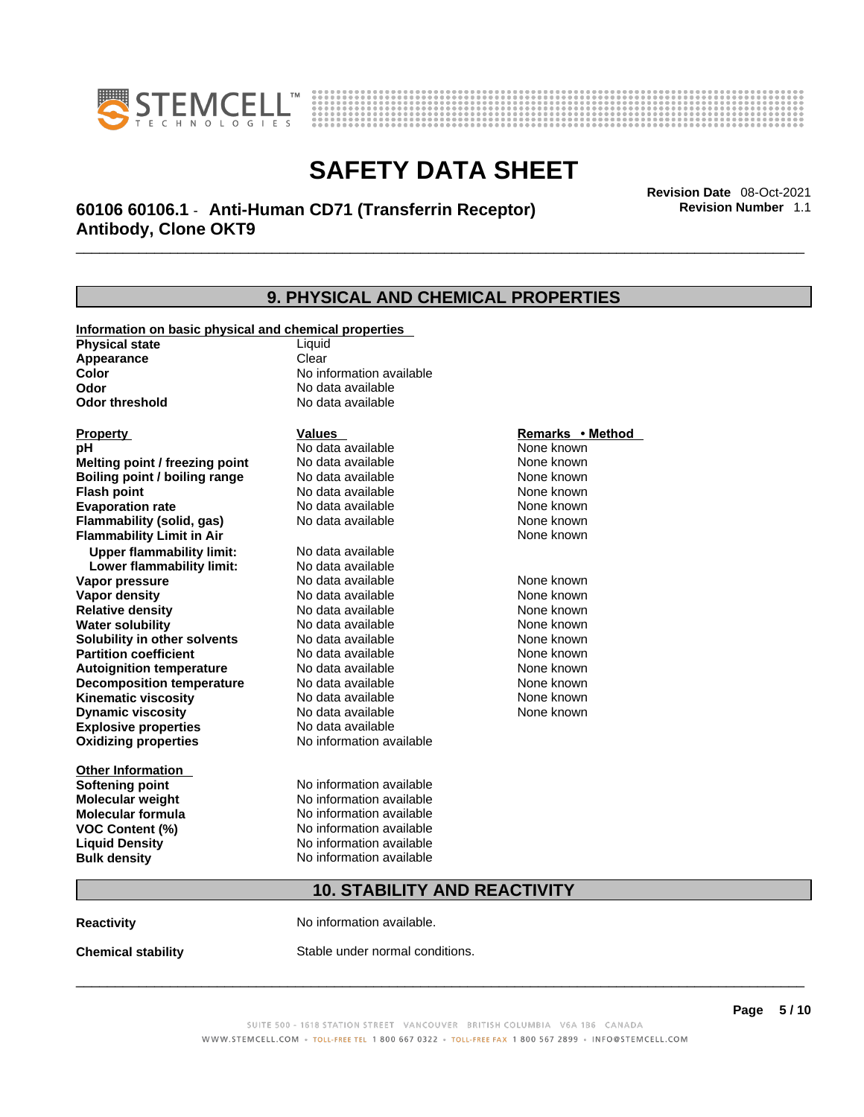



\_\_\_\_\_\_\_\_\_\_\_\_\_\_\_\_\_\_\_\_\_\_\_\_\_\_\_\_\_\_\_\_\_\_\_\_\_\_\_\_\_\_\_\_\_\_\_\_\_\_\_\_\_\_\_\_\_\_\_\_\_\_\_\_\_\_\_\_\_\_\_\_\_\_\_\_\_\_\_\_\_\_\_\_\_\_\_\_\_\_\_\_\_ **Revision Date** 08-Oct-2021 **60106 60106.1** - **Anti-Human CD71 (Transferrin Receptor) Antibody, Clone OKT9** 

| 9. PHYSICAL AND CHEMICAL PROPERTIES                   |                          |                  |  |
|-------------------------------------------------------|--------------------------|------------------|--|
| Information on basic physical and chemical properties |                          |                  |  |
| <b>Physical state</b>                                 | Liquid                   |                  |  |
| Appearance                                            | Clear                    |                  |  |
| Color                                                 | No information available |                  |  |
| Odor                                                  | No data available        |                  |  |
| <b>Odor threshold</b>                                 | No data available        |                  |  |
| <b>Property</b>                                       | Values                   | Remarks • Method |  |
| pН                                                    | No data available        | None known       |  |
| Melting point / freezing point                        | No data available        | None known       |  |
| Boiling point / boiling range                         | No data available        | None known       |  |
| <b>Flash point</b>                                    | No data available        | None known       |  |
| <b>Evaporation rate</b>                               | No data available        | None known       |  |
| Flammability (solid, gas)                             | No data available        | None known       |  |
| <b>Flammability Limit in Air</b>                      |                          | None known       |  |
| <b>Upper flammability limit:</b>                      | No data available        |                  |  |
| Lower flammability limit:                             | No data available        |                  |  |
| Vapor pressure                                        | No data available        | None known       |  |
| <b>Vapor density</b>                                  | No data available        | None known       |  |
| <b>Relative density</b>                               | No data available        | None known       |  |
| <b>Water solubility</b>                               | No data available        | None known       |  |
| Solubility in other solvents                          | No data available        | None known       |  |
| <b>Partition coefficient</b>                          | No data available        | None known       |  |
| <b>Autoignition temperature</b>                       | No data available        | None known       |  |
| <b>Decomposition temperature</b>                      | No data available        | None known       |  |
| <b>Kinematic viscosity</b>                            | No data available        | None known       |  |
| <b>Dynamic viscosity</b>                              | No data available        | None known       |  |
| <b>Explosive properties</b>                           | No data available        |                  |  |
| <b>Oxidizing properties</b>                           | No information available |                  |  |
| <b>Other Information</b>                              |                          |                  |  |
| <b>Softening point</b>                                | No information available |                  |  |
| <b>Molecular weight</b>                               | No information available |                  |  |
| <b>Molecular formula</b>                              | No information available |                  |  |
| <b>VOC Content (%)</b>                                | No information available |                  |  |
| <b>Liquid Density</b>                                 | No information available |                  |  |
| <b>Bulk density</b>                                   | No information available |                  |  |
| <b>10. STABILITY AND REACTIVITY</b>                   |                          |                  |  |

**Reactivity No information available.** 

**Chemical stability** Stable under normal conditions.

 $\_$  ,  $\_$  ,  $\_$  ,  $\_$  ,  $\_$  ,  $\_$  ,  $\_$  ,  $\_$  ,  $\_$  ,  $\_$  ,  $\_$  ,  $\_$  ,  $\_$  ,  $\_$  ,  $\_$  ,  $\_$  ,  $\_$  ,  $\_$  ,  $\_$  ,  $\_$  ,  $\_$  ,  $\_$  ,  $\_$  ,  $\_$  ,  $\_$  ,  $\_$  ,  $\_$  ,  $\_$  ,  $\_$  ,  $\_$  ,  $\_$  ,  $\_$  ,  $\_$  ,  $\_$  ,  $\_$  ,  $\_$  ,  $\_$  ,

**Revision Number** 1.1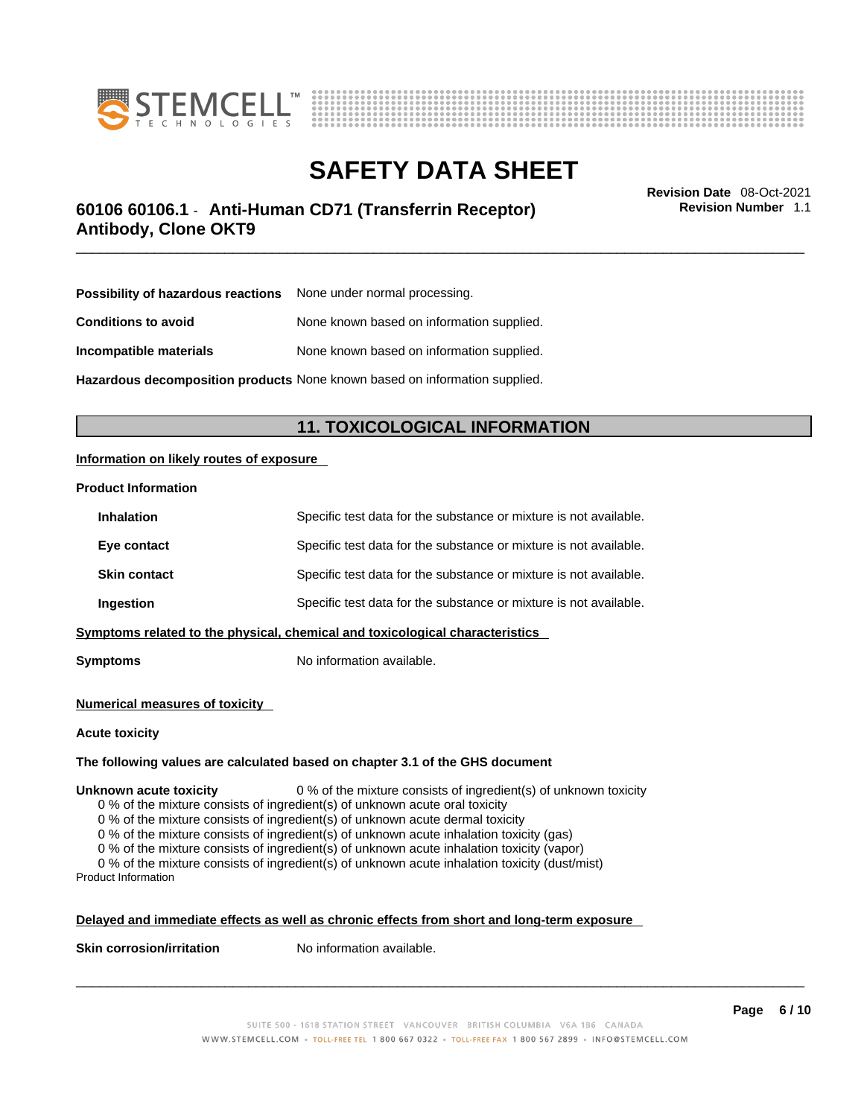



# \_\_\_\_\_\_\_\_\_\_\_\_\_\_\_\_\_\_\_\_\_\_\_\_\_\_\_\_\_\_\_\_\_\_\_\_\_\_\_\_\_\_\_\_\_\_\_\_\_\_\_\_\_\_\_\_\_\_\_\_\_\_\_\_\_\_\_\_\_\_\_\_\_\_\_\_\_\_\_\_\_\_\_\_\_\_\_\_\_\_\_\_\_ **Revision Date** 08-Oct-2021 **60106 60106.1** - **Anti-Human CD71 (Transferrin Receptor) Antibody, Clone OKT9**

**Revision Number** 1.1

| <b>Possibility of hazardous reactions</b> None under normal processing. |                                           |
|-------------------------------------------------------------------------|-------------------------------------------|
| <b>Conditions to avoid</b>                                              | None known based on information supplied. |
| Incompatible materials                                                  | None known based on information supplied. |

**Hazardous decomposition products** None known based on information supplied.

# **11. TOXICOLOGICAL INFORMATION**

## **Information on likely routes of exposure**

### **Product Information**

| <b>Inhalation</b>                                                            | Specific test data for the substance or mixture is not available. |  |
|------------------------------------------------------------------------------|-------------------------------------------------------------------|--|
| Eye contact                                                                  | Specific test data for the substance or mixture is not available. |  |
| <b>Skin contact</b>                                                          | Specific test data for the substance or mixture is not available. |  |
| Ingestion                                                                    | Specific test data for the substance or mixture is not available. |  |
| Symptoms related to the physical, chemical and toxicological characteristics |                                                                   |  |

**Symptoms** No information available.

#### **Numerical measures of toxicity**

#### **Acute toxicity**

#### **The following values are calculated based on chapter 3.1 of the GHS document**

**Unknown acute toxicity** 0 % of the mixture consists of ingredient(s) of unknown toxicity

0 % of the mixture consists of ingredient(s) of unknown acute oral toxicity

0 % of the mixture consists of ingredient(s) of unknown acute dermal toxicity

0 % of the mixture consists of ingredient(s) of unknown acute inhalation toxicity (gas)

0 % of the mixture consists of ingredient(s) of unknown acute inhalation toxicity (vapor)

0 % of the mixture consists of ingredient(s) of unknown acute inhalation toxicity (dust/mist) Product Information

#### **Delayed and immediate effects as well as chronic effects from short and long-term exposure**

**Skin corrosion/irritation** No information available.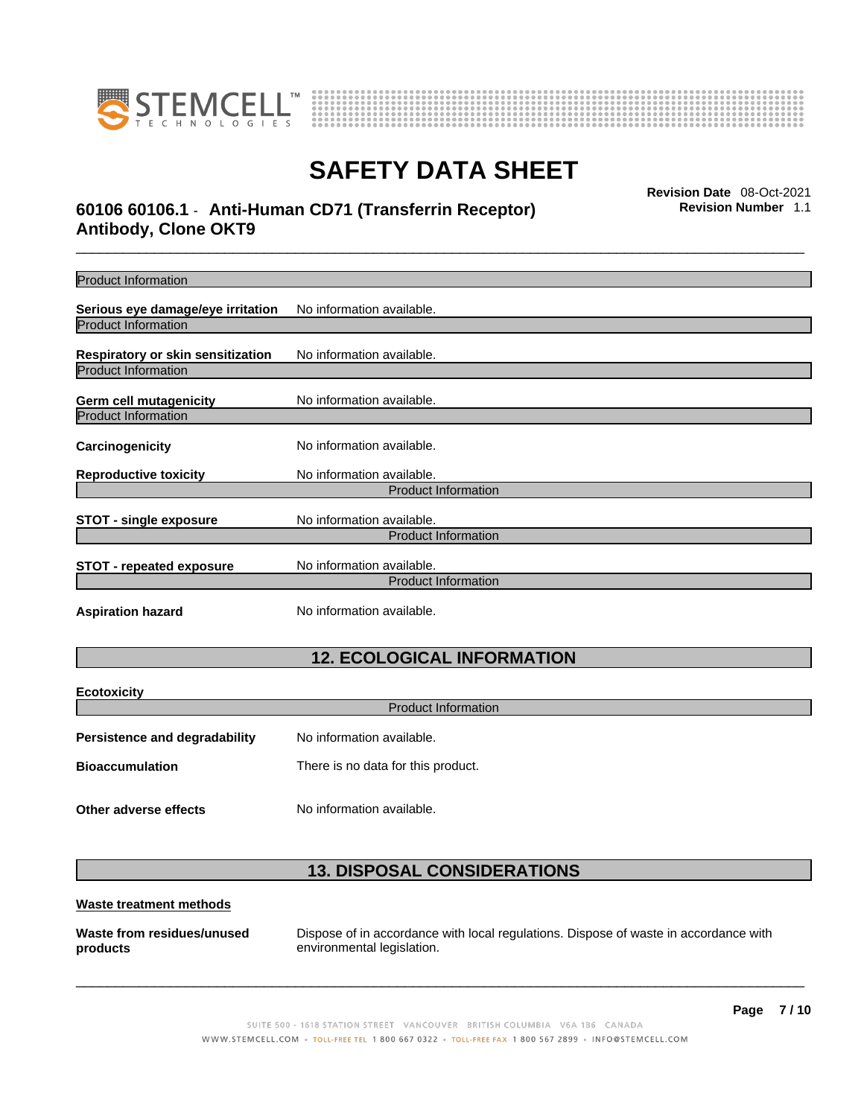



# \_\_\_\_\_\_\_\_\_\_\_\_\_\_\_\_\_\_\_\_\_\_\_\_\_\_\_\_\_\_\_\_\_\_\_\_\_\_\_\_\_\_\_\_\_\_\_\_\_\_\_\_\_\_\_\_\_\_\_\_\_\_\_\_\_\_\_\_\_\_\_\_\_\_\_\_\_\_\_\_\_\_\_\_\_\_\_\_\_\_\_\_\_ **Revision Date** 08-Oct-2021 **60106 60106.1** - **Anti-Human CD71 (Transferrin Receptor) Antibody, Clone OKT9**

**Revision Number** 1.1

| <b>Product Information</b>                                      |                                                         |  |  |
|-----------------------------------------------------------------|---------------------------------------------------------|--|--|
| Serious eye damage/eye irritation                               | No information available.                               |  |  |
| <b>Product Information</b>                                      |                                                         |  |  |
|                                                                 |                                                         |  |  |
| Respiratory or skin sensitization<br><b>Product Information</b> | No information available.                               |  |  |
|                                                                 |                                                         |  |  |
| Germ cell mutagenicity                                          | No information available.                               |  |  |
| <b>Product Information</b>                                      |                                                         |  |  |
| Carcinogenicity                                                 | No information available.                               |  |  |
| <b>Reproductive toxicity</b>                                    | No information available.                               |  |  |
|                                                                 | <b>Product Information</b>                              |  |  |
|                                                                 |                                                         |  |  |
| <b>STOT - single exposure</b>                                   | No information available.<br><b>Product Information</b> |  |  |
|                                                                 |                                                         |  |  |
| <b>STOT - repeated exposure</b>                                 | No information available.                               |  |  |
| <b>Product Information</b>                                      |                                                         |  |  |
| <b>Aspiration hazard</b>                                        | No information available.                               |  |  |
|                                                                 |                                                         |  |  |
|                                                                 | <b>12. ECOLOGICAL INFORMATION</b>                       |  |  |
|                                                                 |                                                         |  |  |
| <b>Ecotoxicity</b>                                              |                                                         |  |  |
|                                                                 | <b>Product Information</b>                              |  |  |
| <b>Persistence and degradability</b>                            | No information available.                               |  |  |
| <b>Bioaccumulation</b>                                          | There is no data for this product.                      |  |  |
|                                                                 |                                                         |  |  |
| Other adverse effects                                           | No information available.                               |  |  |
|                                                                 |                                                         |  |  |

# **13. DISPOSAL CONSIDERATIONS**

## **Waste treatment methods**

**Waste from residues/unused products** 

Dispose of in accordance with local regulations. Dispose of waste in accordance with environmental legislation.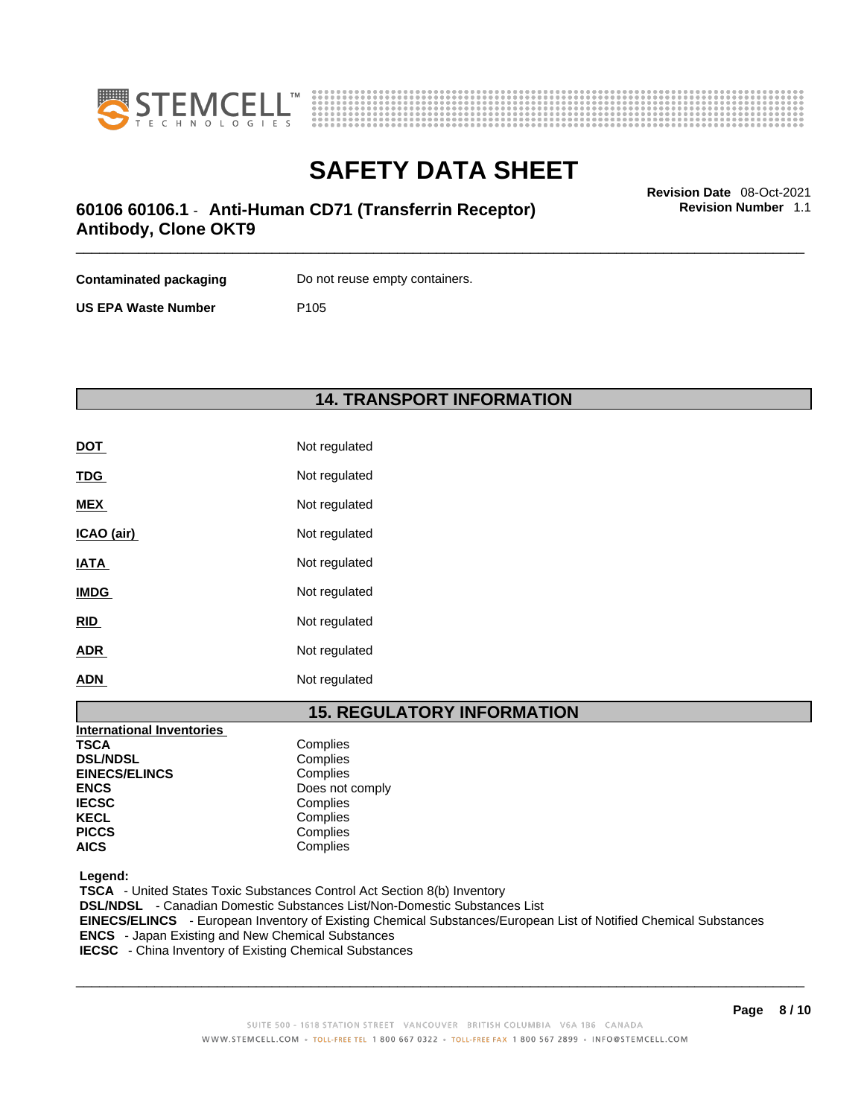



**Revision Number** 1.1

# \_\_\_\_\_\_\_\_\_\_\_\_\_\_\_\_\_\_\_\_\_\_\_\_\_\_\_\_\_\_\_\_\_\_\_\_\_\_\_\_\_\_\_\_\_\_\_\_\_\_\_\_\_\_\_\_\_\_\_\_\_\_\_\_\_\_\_\_\_\_\_\_\_\_\_\_\_\_\_\_\_\_\_\_\_\_\_\_\_\_\_\_\_ **Revision Date** 08-Oct-2021 **60106 60106.1** - **Anti-Human CD71 (Transferrin Receptor) Antibody, Clone OKT9**

| Contaminated packaging     | Do not reuse empty containers. |
|----------------------------|--------------------------------|
| <b>US EPA Waste Number</b> | P <sub>105</sub>               |

# **14. TRANSPORT INFORMATION**

| <b>DOT</b>  | Not regulated |
|-------------|---------------|
| <b>TDG</b>  | Not regulated |
| <b>MEX</b>  | Not regulated |
| ICAO (air)  | Not regulated |
| <b>IATA</b> | Not regulated |
| <b>IMDG</b> | Not regulated |
| <b>RID</b>  | Not regulated |
| <b>ADR</b>  | Not regulated |
| <b>ADN</b>  | Not regulated |

# **15. REGULATORY INFORMATION**

| <b>International Inventories</b> |                 |  |
|----------------------------------|-----------------|--|
| <b>TSCA</b>                      | Complies        |  |
| <b>DSL/NDSL</b>                  | Complies        |  |
| <b>EINECS/ELINCS</b>             | Complies        |  |
| <b>ENCS</b>                      | Does not comply |  |
| <b>IECSC</b>                     | Complies        |  |
| <b>KECL</b>                      | Complies        |  |
| <b>PICCS</b>                     | Complies        |  |
| <b>AICS</b>                      | Complies        |  |

 **Legend:** 

 **TSCA** - United States Toxic Substances Control Act Section 8(b) Inventory  **DSL/NDSL** - Canadian Domestic Substances List/Non-Domestic Substances List  **EINECS/ELINCS** - European Inventory of Existing Chemical Substances/European List of Notified Chemical Substances  **ENCS** - Japan Existing and New Chemical Substances  **IECSC** - China Inventory of Existing Chemical Substances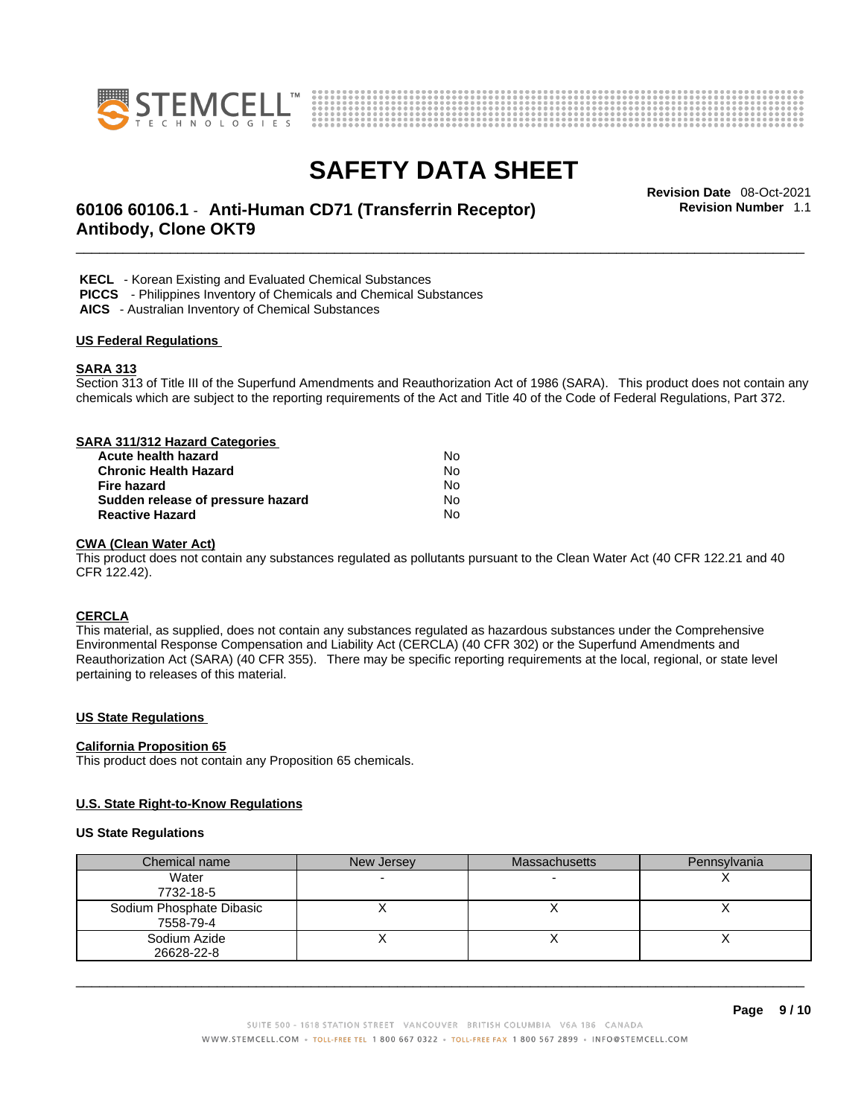



# \_\_\_\_\_\_\_\_\_\_\_\_\_\_\_\_\_\_\_\_\_\_\_\_\_\_\_\_\_\_\_\_\_\_\_\_\_\_\_\_\_\_\_\_\_\_\_\_\_\_\_\_\_\_\_\_\_\_\_\_\_\_\_\_\_\_\_\_\_\_\_\_\_\_\_\_\_\_\_\_\_\_\_\_\_\_\_\_\_\_\_\_\_ **Revision Date** 08-Oct-2021 **60106 60106.1** - **Anti-Human CD71 (Transferrin Receptor) Antibody, Clone OKT9**

**Revision Number** 1.1

 **KECL** - Korean Existing and Evaluated Chemical Substances

 **PICCS** - Philippines Inventory of Chemicals and Chemical Substances

 **AICS** - Australian Inventory of Chemical Substances

### **US Federal Regulations**

### **SARA 313**

Section 313 of Title III of the Superfund Amendments and Reauthorization Act of 1986 (SARA). This product does not contain any chemicals which are subject to the reporting requirements of the Act and Title 40 of the Code of Federal Regulations, Part 372.

# **SARA 311/312 Hazard Categories**

| Acute health hazard               | Nο  |  |
|-----------------------------------|-----|--|
| Chronic Health Hazard             | N٥  |  |
| Fire hazard                       | No. |  |
| Sudden release of pressure hazard | No. |  |
| <b>Reactive Hazard</b>            | N٥  |  |

### **CWA** (Clean Water Act)

This product does not contain any substances regulated as pollutants pursuant to the Clean Water Act (40 CFR 122.21 and 40 CFR 122.42).

### **CERCLA**

This material, as supplied, does not contain any substances regulated as hazardous substances under the Comprehensive Environmental Response Compensation and Liability Act (CERCLA) (40 CFR 302) or the Superfund Amendments and Reauthorization Act (SARA) (40 CFR 355). There may be specific reporting requirements at the local, regional, or state level pertaining to releases of this material.

## **US State Regulations**

#### **California Proposition 65**

This product does not contain any Proposition 65 chemicals.

#### **U.S. State Right-to-Know Regulations**

#### **US State Regulations**

| Chemical name            | New Jersey | <b>Massachusetts</b> | Pennsylvania |
|--------------------------|------------|----------------------|--------------|
| Water                    |            |                      |              |
| 7732-18-5                |            |                      |              |
| Sodium Phosphate Dibasic |            |                      |              |
| 7558-79-4                |            |                      |              |
| Sodium Azide             |            |                      |              |
| 26628-22-8               |            |                      |              |